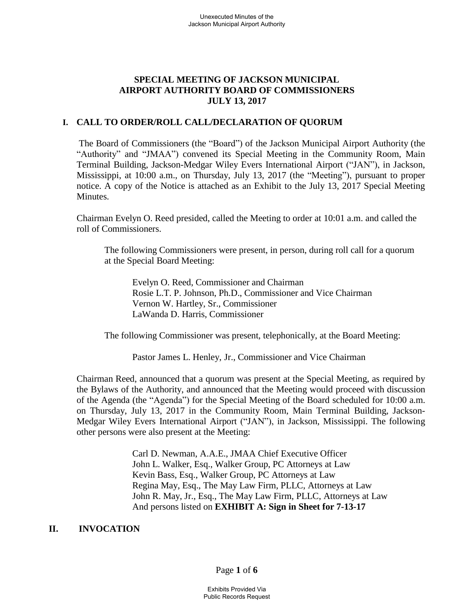## **SPECIAL MEETING OF JACKSON MUNICIPAL AIRPORT AUTHORITY BOARD OF COMMISSIONERS JULY 13, 2017**

## **I. CALL TO ORDER/ROLL CALL/DECLARATION OF QUORUM**

The Board of Commissioners (the "Board") of the Jackson Municipal Airport Authority (the "Authority" and "JMAA") convened its Special Meeting in the Community Room, Main Terminal Building, Jackson-Medgar Wiley Evers International Airport ("JAN"), in Jackson, Mississippi, at 10:00 a.m., on Thursday, July 13, 2017 (the "Meeting"), pursuant to proper notice. A copy of the Notice is attached as an Exhibit to the July 13, 2017 Special Meeting Minutes.

Chairman Evelyn O. Reed presided, called the Meeting to order at 10:01 a.m. and called the roll of Commissioners.

The following Commissioners were present, in person, during roll call for a quorum at the Special Board Meeting:

Evelyn O. Reed, Commissioner and Chairman Rosie L.T. P. Johnson, Ph.D., Commissioner and Vice Chairman Vernon W. Hartley, Sr., Commissioner LaWanda D. Harris, Commissioner

The following Commissioner was present, telephonically, at the Board Meeting:

Pastor James L. Henley, Jr., Commissioner and Vice Chairman

Chairman Reed, announced that a quorum was present at the Special Meeting, as required by the Bylaws of the Authority, and announced that the Meeting would proceed with discussion of the Agenda (the "Agenda") for the Special Meeting of the Board scheduled for 10:00 a.m. on Thursday, July 13, 2017 in the Community Room, Main Terminal Building, Jackson-Medgar Wiley Evers International Airport ("JAN"), in Jackson, Mississippi. The following other persons were also present at the Meeting:

> Carl D. Newman, A.A.E., JMAA Chief Executive Officer John L. Walker, Esq., Walker Group, PC Attorneys at Law Kevin Bass, Esq., Walker Group, PC Attorneys at Law Regina May, Esq., The May Law Firm, PLLC, Attorneys at Law John R. May, Jr., Esq., The May Law Firm, PLLC, Attorneys at Law And persons listed on **EXHIBIT A: Sign in Sheet for 7-13-17**

# **II. INVOCATION**

Page **1** of **6**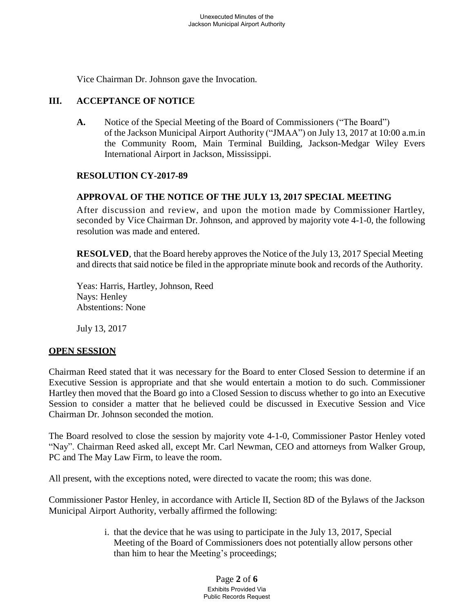Vice Chairman Dr. Johnson gave the Invocation.

# **III. ACCEPTANCE OF NOTICE**

**A.** Notice of the Special Meeting of the Board of Commissioners ("The Board") of the Jackson Municipal Airport Authority ("JMAA") on July 13, 2017 at 10:00 a.m.in the Community Room, Main Terminal Building, Jackson-Medgar Wiley Evers International Airport in Jackson, Mississippi.

#### **RESOLUTION CY-2017-89**

## **APPROVAL OF THE NOTICE OF THE JULY 13, 2017 SPECIAL MEETING**

After discussion and review, and upon the motion made by Commissioner Hartley, seconded by Vice Chairman Dr. Johnson, and approved by majority vote 4-1-0, the following resolution was made and entered.

**RESOLVED**, that the Board hereby approves the Notice of the July 13, 2017 Special Meeting and directs that said notice be filed in the appropriate minute book and records of the Authority.

Yeas: Harris, Hartley, Johnson, Reed Nays: Henley Abstentions: None

July 13, 2017

#### **OPEN SESSION**

Chairman Reed stated that it was necessary for the Board to enter Closed Session to determine if an Executive Session is appropriate and that she would entertain a motion to do such. Commissioner Hartley then moved that the Board go into a Closed Session to discuss whether to go into an Executive Session to consider a matter that he believed could be discussed in Executive Session and Vice Chairman Dr. Johnson seconded the motion.

The Board resolved to close the session by majority vote 4-1-0, Commissioner Pastor Henley voted "Nay". Chairman Reed asked all, except Mr. Carl Newman, CEO and attorneys from Walker Group, PC and The May Law Firm, to leave the room.

All present, with the exceptions noted, were directed to vacate the room; this was done.

Commissioner Pastor Henley, in accordance with Article II, Section 8D of the Bylaws of the Jackson Municipal Airport Authority, verbally affirmed the following:

> i. that the device that he was using to participate in the July 13, 2017, Special Meeting of the Board of Commissioners does not potentially allow persons other than him to hear the Meeting's proceedings;

> > Page **2** of **6** Exhibits Provided Via Public Records Request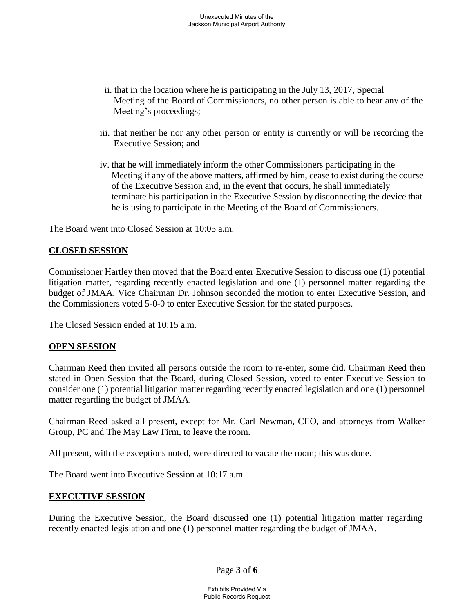- ii. that in the location where he is participating in the July 13, 2017, Special Meeting of the Board of Commissioners, no other person is able to hear any of the Meeting's proceedings;
- iii. that neither he nor any other person or entity is currently or will be recording the Executive Session; and
- iv. that he will immediately inform the other Commissioners participating in the Meeting if any of the above matters, affirmed by him, cease to exist during the course of the Executive Session and, in the event that occurs, he shall immediately terminate his participation in the Executive Session by disconnecting the device that he is using to participate in the Meeting of the Board of Commissioners.

The Board went into Closed Session at 10:05 a.m.

#### **CLOSED SESSION**

Commissioner Hartley then moved that the Board enter Executive Session to discuss one (1) potential litigation matter, regarding recently enacted legislation and one (1) personnel matter regarding the budget of JMAA. Vice Chairman Dr. Johnson seconded the motion to enter Executive Session, and the Commissioners voted 5-0-0 to enter Executive Session for the stated purposes.

The Closed Session ended at 10:15 a.m.

#### **OPEN SESSION**

Chairman Reed then invited all persons outside the room to re-enter, some did. Chairman Reed then stated in Open Session that the Board, during Closed Session, voted to enter Executive Session to consider one (1) potential litigation matter regarding recently enacted legislation and one (1) personnel matter regarding the budget of JMAA.

Chairman Reed asked all present, except for Mr. Carl Newman, CEO, and attorneys from Walker Group, PC and The May Law Firm, to leave the room.

All present, with the exceptions noted, were directed to vacate the room; this was done.

The Board went into Executive Session at 10:17 a.m.

#### **EXECUTIVE SESSION**

During the Executive Session, the Board discussed one (1) potential litigation matter regarding recently enacted legislation and one (1) personnel matter regarding the budget of JMAA.

Page **3** of **6**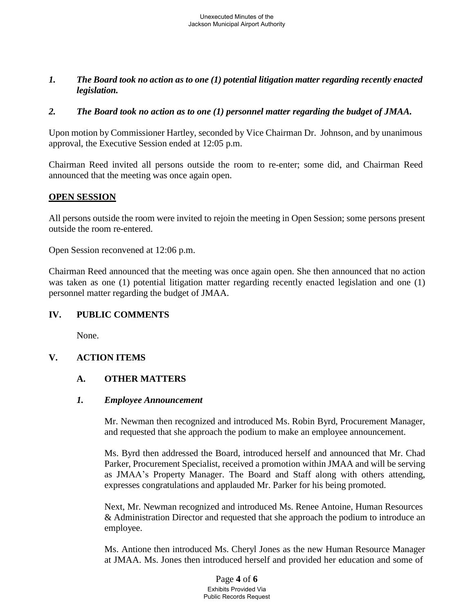## *1. The Board took no action as to one (1) potential litigation matter regarding recently enacted legislation.*

## *2. The Board took no action as to one (1) personnel matter regarding the budget of JMAA.*

Upon motion by Commissioner Hartley, seconded by Vice Chairman Dr. Johnson, and by unanimous approval, the Executive Session ended at 12:05 p.m.

Chairman Reed invited all persons outside the room to re-enter; some did, and Chairman Reed announced that the meeting was once again open.

## **OPEN SESSION**

All persons outside the room were invited to rejoin the meeting in Open Session; some persons present outside the room re-entered.

Open Session reconvened at 12:06 p.m.

Chairman Reed announced that the meeting was once again open. She then announced that no action was taken as one (1) potential litigation matter regarding recently enacted legislation and one (1) personnel matter regarding the budget of JMAA.

#### **IV. PUBLIC COMMENTS**

None.

# **V. ACTION ITEMS**

## **A. OTHER MATTERS**

#### *1. Employee Announcement*

Mr. Newman then recognized and introduced Ms. Robin Byrd, Procurement Manager, and requested that she approach the podium to make an employee announcement.

Ms. Byrd then addressed the Board, introduced herself and announced that Mr. Chad Parker, Procurement Specialist, received a promotion within JMAA and will be serving as JMAA's Property Manager. The Board and Staff along with others attending, expresses congratulations and applauded Mr. Parker for his being promoted.

Next, Mr. Newman recognized and introduced Ms. Renee Antoine, Human Resources & Administration Director and requested that she approach the podium to introduce an employee.

Ms. Antione then introduced Ms. Cheryl Jones as the new Human Resource Manager at JMAA. Ms. Jones then introduced herself and provided her education and some of

> Page **4** of **6** Exhibits Provided Via Public Records Request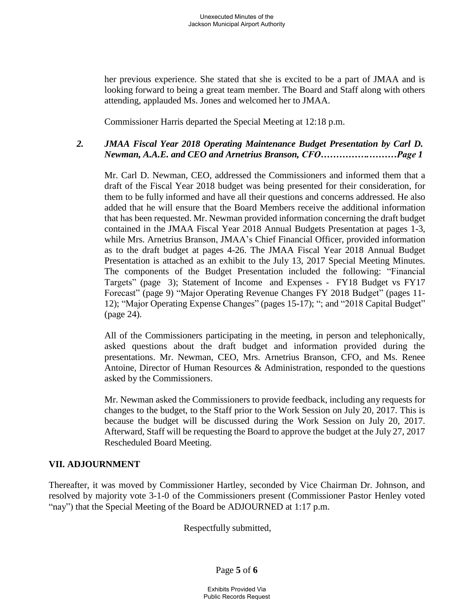her previous experience. She stated that she is excited to be a part of JMAA and is looking forward to being a great team member. The Board and Staff along with others attending, applauded Ms. Jones and welcomed her to JMAA.

Commissioner Harris departed the Special Meeting at 12:18 p.m.

# *2. JMAA Fiscal Year 2018 Operating Maintenance Budget Presentation by Carl D. Newman, A.A.E. and CEO and Arnetrius Branson, CFO…………….………Page 1*

Mr. Carl D. Newman, CEO, addressed the Commissioners and informed them that a draft of the Fiscal Year 2018 budget was being presented for their consideration, for them to be fully informed and have all their questions and concerns addressed. He also added that he will ensure that the Board Members receive the additional information that has been requested. Mr. Newman provided information concerning the draft budget contained in the JMAA Fiscal Year 2018 Annual Budgets Presentation at pages 1-3, while Mrs. Arnetrius Branson, JMAA's Chief Financial Officer, provided information as to the draft budget at pages 4-26. The JMAA Fiscal Year 2018 Annual Budget Presentation is attached as an exhibit to the July 13, 2017 Special Meeting Minutes. The components of the Budget Presentation included the following: "Financial Targets" (page 3); Statement of Income and Expenses - FY18 Budget vs FY17 Forecast" (page 9) "Major Operating Revenue Changes FY 2018 Budget" (pages 11- 12); "Major Operating Expense Changes" (pages 15-17); "; and "2018 Capital Budget" (page 24).

All of the Commissioners participating in the meeting, in person and telephonically, asked questions about the draft budget and information provided during the presentations. Mr. Newman, CEO, Mrs. Arnetrius Branson, CFO, and Ms. Renee Antoine, Director of Human Resources & Administration, responded to the questions asked by the Commissioners.

Mr. Newman asked the Commissioners to provide feedback, including any requests for changes to the budget, to the Staff prior to the Work Session on July 20, 2017. This is because the budget will be discussed during the Work Session on July 20, 2017. Afterward, Staff will be requesting the Board to approve the budget at the July 27, 2017 Rescheduled Board Meeting.

# **VII. ADJOURNMENT**

Thereafter, it was moved by Commissioner Hartley, seconded by Vice Chairman Dr. Johnson, and resolved by majority vote 3-1-0 of the Commissioners present (Commissioner Pastor Henley voted "nay") that the Special Meeting of the Board be ADJOURNED at 1:17 p.m.

Respectfully submitted,

Page **5** of **6**